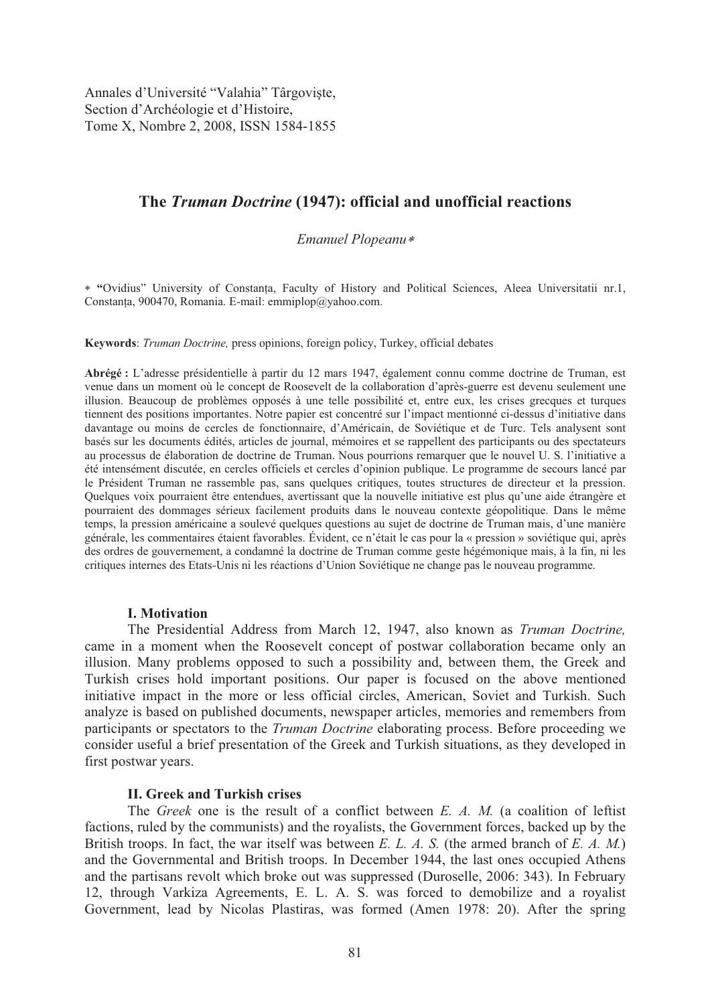Annales d'Université "Valahia" Târgoviște, Section d'Archéologie et d'Histoire, Tome X, Nombre 2, 2008, ISSN 1584-1855

# **The** *Truman Doctrine* **(1947): official and unofficial reactions**

# *Emanuel Plopeanu*

 **"**Ovidius" University of Constan!a, Faculty of History and Political Sciences, Aleea Universitatii nr.1, Constanta, 900470, Romania. E-mail: emmiplop@yahoo.com.

**Keywords**: *Truman Doctrine,* press opinions, foreign policy, Turkey, official debates

**Abrégé :** L'adresse présidentielle à partir du 12 mars 1947, également connu comme doctrine de Truman, est venue dans un moment où le concept de Roosevelt de la collaboration d'après-guerre est devenu seulement une illusion. Beaucoup de problèmes opposés à une telle possibilité et, entre eux, les crises grecques et turques tiennent des positions importantes. Notre papier est concentré sur l'impact mentionné ci-dessus d'initiative dans davantage ou moins de cercles de fonctionnaire, d'Américain, de Soviétique et de Turc. Tels analysent sont basés sur les documents édités, articles de journal, mémoires et se rappellent des participants ou des spectateurs au processus de élaboration de doctrine de Truman. Nous pourrions remarquer que le nouvel U. S. l'initiative a été intensément discutée, en cercles officiels et cercles d'opinion publique. Le programme de secours lancé par le Président Truman ne rassemble pas, sans quelques critiques, toutes structures de directeur et la pression. Quelques voix pourraient être entendues, avertissant que la nouvelle initiative est plus qu'une aide étrangère et pourraient des dommages sérieux facilement produits dans le nouveau contexte géopolitique. Dans le même temps, la pression américaine a soulevé quelques questions au sujet de doctrine de Truman mais, d'une manière générale, les commentaires étaient favorables. Évident, ce n'était le cas pour la « pression » soviétique qui, après des ordres de gouvernement, a condamné la doctrine de Truman comme geste hégémonique mais, à la fin, ni les critiques internes des Etats-Unis ni les réactions d'Union Soviétique ne change pas le nouveau programme.

#### **I. Motivation**

The Presidential Address from March 12, 1947, also known as *Truman Doctrine,*  came in a moment when the Roosevelt concept of postwar collaboration became only an illusion. Many problems opposed to such a possibility and, between them, the Greek and Turkish crises hold important positions. Our paper is focused on the above mentioned initiative impact in the more or less official circles, American, Soviet and Turkish. Such analyze is based on published documents, newspaper articles, memories and remembers from participants or spectators to the *Truman Doctrine* elaborating process. Before proceeding we consider useful a brief presentation of the Greek and Turkish situations, as they developed in first postwar years.

# **II. Greek and Turkish crises**

 The *Greek* one is the result of a conflict between *E. A. M.* (a coalition of leftist factions, ruled by the communists) and the royalists, the Government forces, backed up by the British troops. In fact, the war itself was between *E. L. A. S.* (the armed branch of *E. A. M.*) and the Governmental and British troops. In December 1944, the last ones occupied Athens and the partisans revolt which broke out was suppressed (Duroselle, 2006: 343). In February 12, through Varkiza Agreements, E. L. A. S. was forced to demobilize and a royalist Government, lead by Nicolas Plastiras, was formed (Amen 1978: 20). After the spring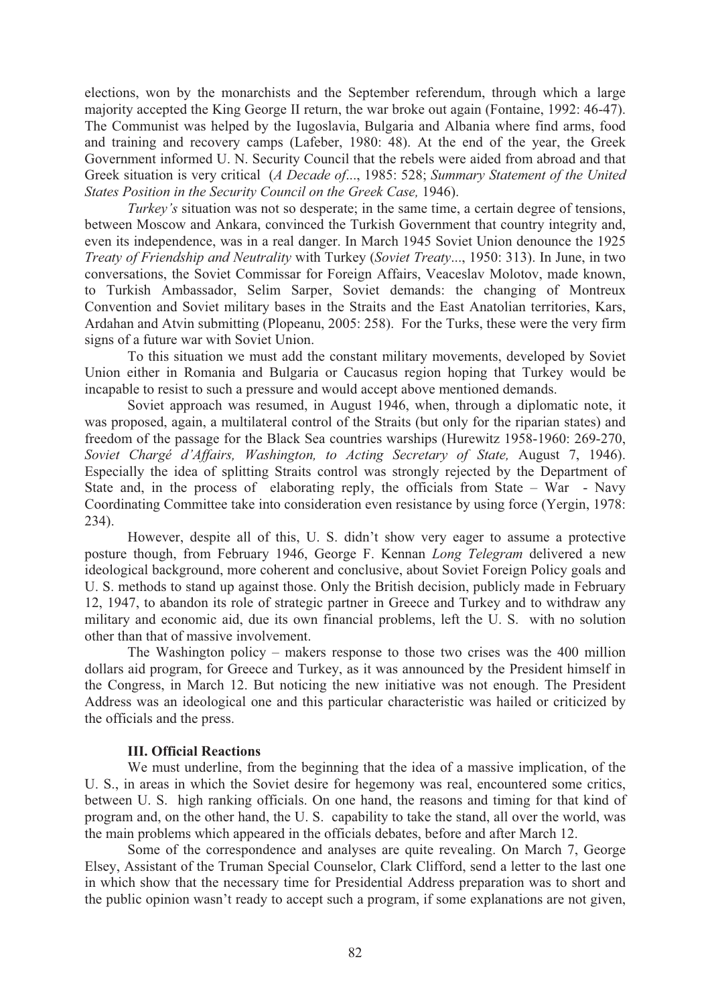elections, won by the monarchists and the September referendum, through which a large majority accepted the King George II return, the war broke out again (Fontaine, 1992: 46-47). The Communist was helped by the Iugoslavia, Bulgaria and Albania where find arms, food and training and recovery camps (Lafeber, 1980: 48). At the end of the year, the Greek Government informed U. N. Security Council that the rebels were aided from abroad and that Greek situation is very critical (*A Decade of*..., 1985: 528; *Summary Statement of the United States Position in the Security Council on the Greek Case,* 1946).

*Turkey's* situation was not so desperate; in the same time, a certain degree of tensions, between Moscow and Ankara, convinced the Turkish Government that country integrity and, even its independence, was in a real danger. In March 1945 Soviet Union denounce the 1925 *Treaty of Friendship and Neutrality* with Turkey (*Soviet Treaty*..., 1950: 313). In June, in two conversations, the Soviet Commissar for Foreign Affairs, Veaceslav Molotov, made known, to Turkish Ambassador, Selim Sarper, Soviet demands: the changing of Montreux Convention and Soviet military bases in the Straits and the East Anatolian territories, Kars, Ardahan and Atvin submitting (Plopeanu, 2005: 258). For the Turks, these were the very firm signs of a future war with Soviet Union.

To this situation we must add the constant military movements, developed by Soviet Union either in Romania and Bulgaria or Caucasus region hoping that Turkey would be incapable to resist to such a pressure and would accept above mentioned demands.

Soviet approach was resumed, in August 1946, when, through a diplomatic note, it was proposed, again, a multilateral control of the Straits (but only for the riparian states) and freedom of the passage for the Black Sea countries warships (Hurewitz 1958-1960: 269-270, *Soviet Chargé d'Affairs, Washington, to Acting Secretary of State,* August 7, 1946). Especially the idea of splitting Straits control was strongly rejected by the Department of State and, in the process of elaborating reply, the officials from State – War - Navy Coordinating Committee take into consideration even resistance by using force (Yergin, 1978: 234).

However, despite all of this, U. S. didn't show very eager to assume a protective posture though, from February 1946, George F. Kennan *Long Telegram* delivered a new ideological background, more coherent and conclusive, about Soviet Foreign Policy goals and U. S. methods to stand up against those. Only the British decision, publicly made in February 12, 1947, to abandon its role of strategic partner in Greece and Turkey and to withdraw any military and economic aid, due its own financial problems, left the U. S. with no solution other than that of massive involvement.

The Washington policy – makers response to those two crises was the 400 million dollars aid program, for Greece and Turkey, as it was announced by the President himself in the Congress, in March 12. But noticing the new initiative was not enough. The President Address was an ideological one and this particular characteristic was hailed or criticized by the officials and the press.

# **III. Official Reactions**

 We must underline, from the beginning that the idea of a massive implication, of the U. S., in areas in which the Soviet desire for hegemony was real, encountered some critics, between U. S. high ranking officials. On one hand, the reasons and timing for that kind of program and, on the other hand, the U. S. capability to take the stand, all over the world, was the main problems which appeared in the officials debates, before and after March 12.

Some of the correspondence and analyses are quite revealing. On March 7, George Elsey, Assistant of the Truman Special Counselor, Clark Clifford, send a letter to the last one in which show that the necessary time for Presidential Address preparation was to short and the public opinion wasn't ready to accept such a program, if some explanations are not given,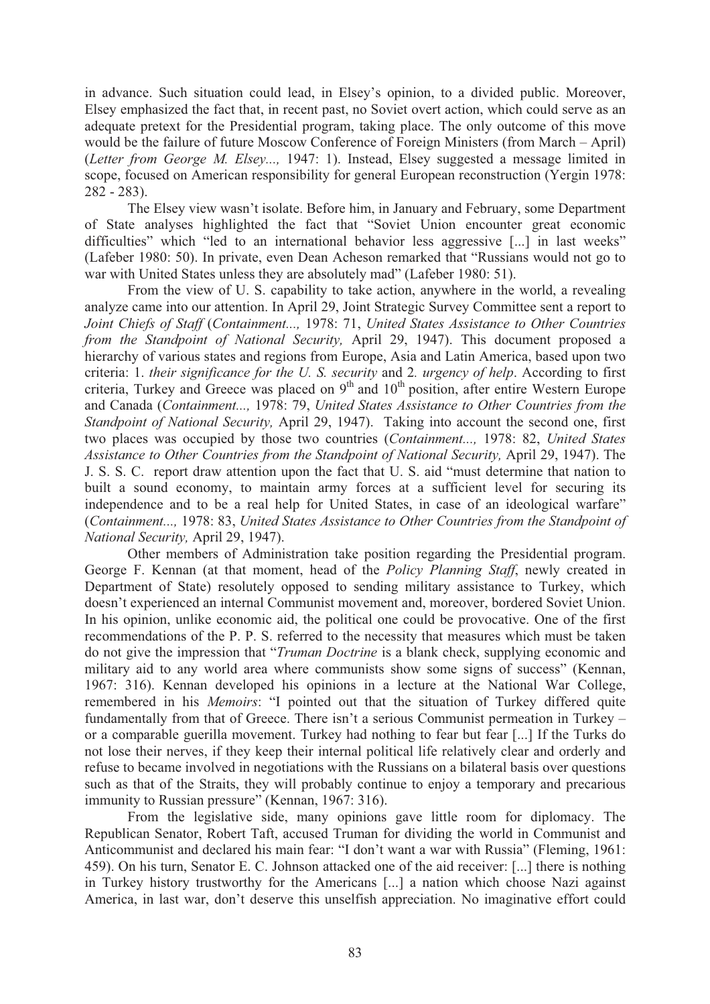in advance. Such situation could lead, in Elsey's opinion, to a divided public. Moreover, Elsey emphasized the fact that, in recent past, no Soviet overt action, which could serve as an adequate pretext for the Presidential program, taking place. The only outcome of this move would be the failure of future Moscow Conference of Foreign Ministers (from March – April) (*Letter from George M. Elsey...,* 1947: 1). Instead, Elsey suggested a message limited in scope, focused on American responsibility for general European reconstruction (Yergin 1978: 282 - 283).

The Elsey view wasn't isolate. Before him, in January and February, some Department of State analyses highlighted the fact that "Soviet Union encounter great economic difficulties" which "led to an international behavior less aggressive [...] in last weeks" (Lafeber 1980: 50). In private, even Dean Acheson remarked that "Russians would not go to war with United States unless they are absolutely mad" (Lafeber 1980: 51).

From the view of U. S. capability to take action, anywhere in the world, a revealing analyze came into our attention. In April 29, Joint Strategic Survey Committee sent a report to *Joint Chiefs of Staff* (*Containment...,* 1978: 71, *United States Assistance to Other Countries from the Standpoint of National Security,* April 29, 1947). This document proposed a hierarchy of various states and regions from Europe, Asia and Latin America, based upon two criteria: 1. *their significance for the U. S. security* and 2*. urgency of help*. According to first criteria, Turkey and Greece was placed on  $9<sup>th</sup>$  and  $10<sup>th</sup>$  position, after entire Western Europe and Canada (*Containment...,* 1978: 79, *United States Assistance to Other Countries from the Standpoint of National Security,* April 29, 1947). Taking into account the second one, first two places was occupied by those two countries (*Containment...,* 1978: 82, *United States Assistance to Other Countries from the Standpoint of National Security,* April 29, 1947). The J. S. S. C. report draw attention upon the fact that U. S. aid "must determine that nation to built a sound economy, to maintain army forces at a sufficient level for securing its independence and to be a real help for United States, in case of an ideological warfare" (*Containment...,* 1978: 83, *United States Assistance to Other Countries from the Standpoint of National Security,* April 29, 1947).

 Other members of Administration take position regarding the Presidential program. George F. Kennan (at that moment, head of the *Policy Planning Staff*, newly created in Department of State) resolutely opposed to sending military assistance to Turkey, which doesn't experienced an internal Communist movement and, moreover, bordered Soviet Union. In his opinion, unlike economic aid, the political one could be provocative. One of the first recommendations of the P. P. S. referred to the necessity that measures which must be taken do not give the impression that "*Truman Doctrine* is a blank check, supplying economic and military aid to any world area where communists show some signs of success" (Kennan, 1967: 316). Kennan developed his opinions in a lecture at the National War College, remembered in his *Memoirs*: "I pointed out that the situation of Turkey differed quite fundamentally from that of Greece. There isn't a serious Communist permeation in Turkey – or a comparable guerilla movement. Turkey had nothing to fear but fear [...] If the Turks do not lose their nerves, if they keep their internal political life relatively clear and orderly and refuse to became involved in negotiations with the Russians on a bilateral basis over questions such as that of the Straits, they will probably continue to enjoy a temporary and precarious immunity to Russian pressure" (Kennan, 1967: 316).

 From the legislative side, many opinions gave little room for diplomacy. The Republican Senator, Robert Taft, accused Truman for dividing the world in Communist and Anticommunist and declared his main fear: "I don't want a war with Russia" (Fleming, 1961: 459). On his turn, Senator E. C. Johnson attacked one of the aid receiver: [...] there is nothing in Turkey history trustworthy for the Americans [...] a nation which choose Nazi against America, in last war, don't deserve this unselfish appreciation. No imaginative effort could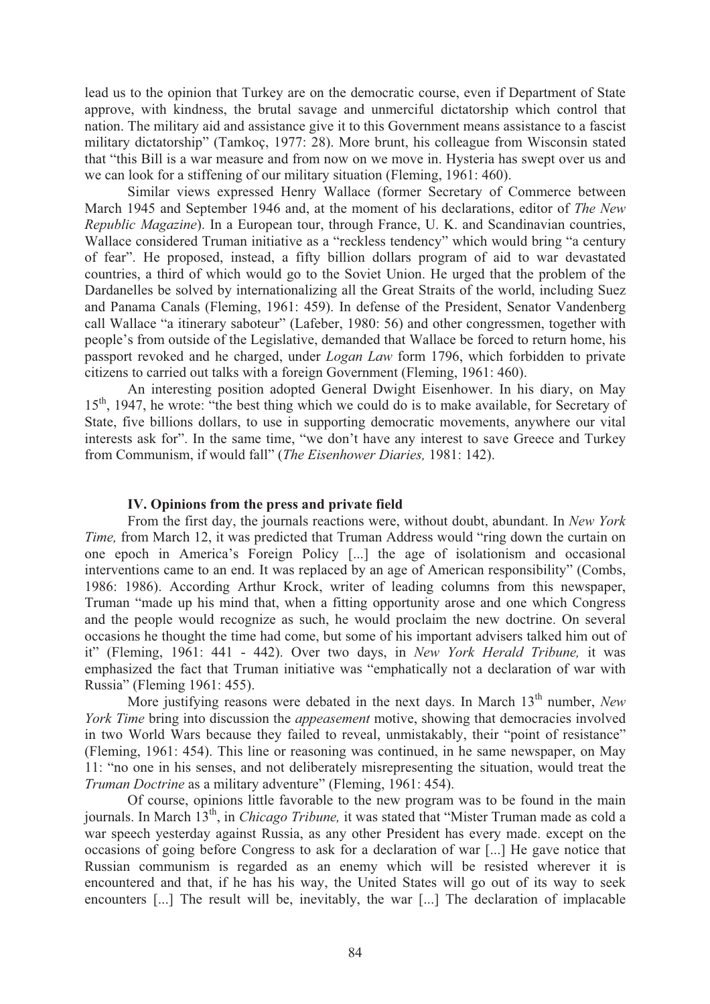lead us to the opinion that Turkey are on the democratic course, even if Department of State approve, with kindness, the brutal savage and unmerciful dictatorship which control that nation. The military aid and assistance give it to this Government means assistance to a fascist military dictatorship" (Tamkoç, 1977: 28). More brunt, his colleague from Wisconsin stated that "this Bill is a war measure and from now on we move in. Hysteria has swept over us and we can look for a stiffening of our military situation (Fleming, 1961: 460).

 Similar views expressed Henry Wallace (former Secretary of Commerce between March 1945 and September 1946 and, at the moment of his declarations, editor of *The New Republic Magazine*). In a European tour, through France, U. K. and Scandinavian countries, Wallace considered Truman initiative as a "reckless tendency" which would bring "a century of fear". He proposed, instead, a fifty billion dollars program of aid to war devastated countries, a third of which would go to the Soviet Union. He urged that the problem of the Dardanelles be solved by internationalizing all the Great Straits of the world, including Suez and Panama Canals (Fleming, 1961: 459). In defense of the President, Senator Vandenberg call Wallace "a itinerary saboteur" (Lafeber, 1980: 56) and other congressmen, together with people's from outside of the Legislative, demanded that Wallace be forced to return home, his passport revoked and he charged, under *Logan Law* form 1796, which forbidden to private citizens to carried out talks with a foreign Government (Fleming, 1961: 460).

 An interesting position adopted General Dwight Eisenhower. In his diary, on May  $15<sup>th</sup>$ , 1947, he wrote: "the best thing which we could do is to make available, for Secretary of State, five billions dollars, to use in supporting democratic movements, anywhere our vital interests ask for". In the same time, "we don't have any interest to save Greece and Turkey from Communism, if would fall" (*The Eisenhower Diaries,* 1981: 142).

#### **IV. Opinions from the press and private field**

From the first day, the journals reactions were, without doubt, abundant. In *New York Time,* from March 12, it was predicted that Truman Address would "ring down the curtain on one epoch in America's Foreign Policy [...] the age of isolationism and occasional interventions came to an end. It was replaced by an age of American responsibility" (Combs, 1986: 1986). According Arthur Krock, writer of leading columns from this newspaper, Truman "made up his mind that, when a fitting opportunity arose and one which Congress and the people would recognize as such, he would proclaim the new doctrine. On several occasions he thought the time had come, but some of his important advisers talked him out of it" (Fleming, 1961: 441 - 442). Over two days, in *New York Herald Tribune,* it was emphasized the fact that Truman initiative was "emphatically not a declaration of war with Russia" (Fleming 1961: 455).

More justifying reasons were debated in the next days. In March 13<sup>th</sup> number, *New York Time* bring into discussion the *appeasement* motive, showing that democracies involved in two World Wars because they failed to reveal, unmistakably, their "point of resistance" (Fleming, 1961: 454). This line or reasoning was continued, in he same newspaper, on May 11: "no one in his senses, and not deliberately misrepresenting the situation, would treat the *Truman Doctrine* as a military adventure" (Fleming, 1961: 454).

 Of course, opinions little favorable to the new program was to be found in the main journals. In March 13<sup>th</sup>, in *Chicago Tribune*, it was stated that "Mister Truman made as cold a war speech yesterday against Russia, as any other President has every made. except on the occasions of going before Congress to ask for a declaration of war [...] He gave notice that Russian communism is regarded as an enemy which will be resisted wherever it is encountered and that, if he has his way, the United States will go out of its way to seek encounters [...] The result will be, inevitably, the war [...] The declaration of implacable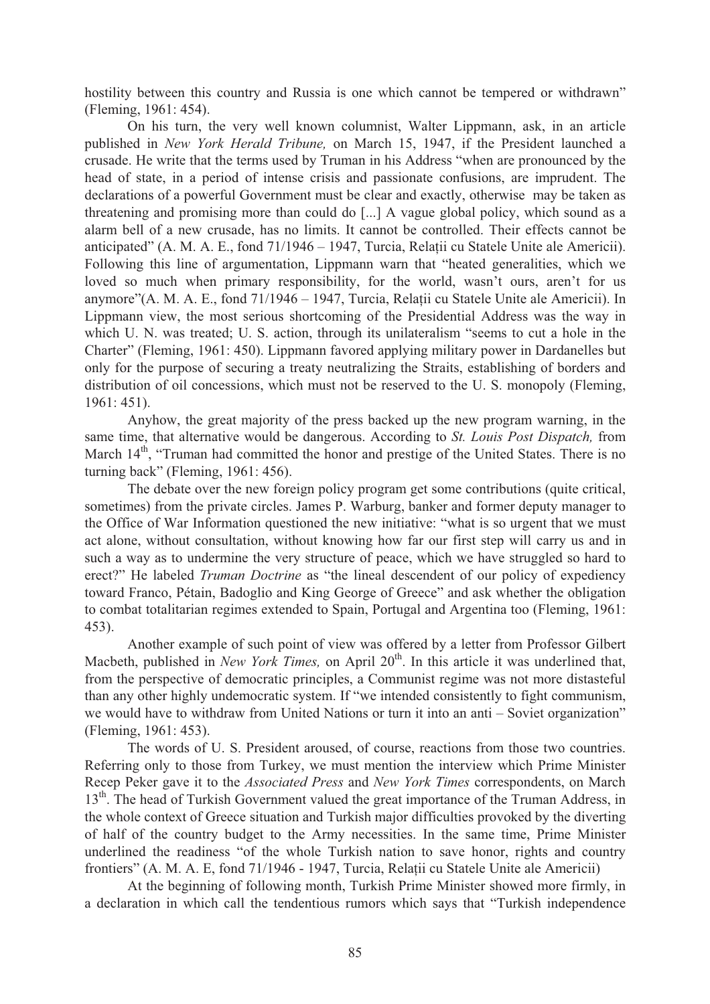hostility between this country and Russia is one which cannot be tempered or withdrawn" (Fleming, 1961: 454).

 On his turn, the very well known columnist, Walter Lippmann, ask, in an article published in *New York Herald Tribune,* on March 15, 1947, if the President launched a crusade. He write that the terms used by Truman in his Address "when are pronounced by the head of state, in a period of intense crisis and passionate confusions, are imprudent. The declarations of a powerful Government must be clear and exactly, otherwise may be taken as threatening and promising more than could do [...] A vague global policy, which sound as a alarm bell of a new crusade, has no limits. It cannot be controlled. Their effects cannot be anticipated" (A. M. A. E., fond 71/1946 – 1947, Turcia, Relatii cu Statele Unite ale Americii). Following this line of argumentation, Lippmann warn that "heated generalities, which we loved so much when primary responsibility, for the world, wasn't ours, aren't for us anymore"(A. M. A. E., fond 71/1946 – 1947, Turcia, Relații cu Statele Unite ale Americii). In Lippmann view, the most serious shortcoming of the Presidential Address was the way in which U. N. was treated; U. S. action, through its unilateralism "seems to cut a hole in the Charter" (Fleming, 1961: 450). Lippmann favored applying military power in Dardanelles but only for the purpose of securing a treaty neutralizing the Straits, establishing of borders and distribution of oil concessions, which must not be reserved to the U. S. monopoly (Fleming, 1961: 451).

 Anyhow, the great majority of the press backed up the new program warning, in the same time, that alternative would be dangerous. According to *St. Louis Post Dispatch,* from March  $14<sup>th</sup>$ , "Truman had committed the honor and prestige of the United States. There is no turning back" (Fleming, 1961: 456).

The debate over the new foreign policy program get some contributions (quite critical, sometimes) from the private circles. James P. Warburg, banker and former deputy manager to the Office of War Information questioned the new initiative: "what is so urgent that we must act alone, without consultation, without knowing how far our first step will carry us and in such a way as to undermine the very structure of peace, which we have struggled so hard to erect?" He labeled *Truman Doctrine* as "the lineal descendent of our policy of expediency toward Franco, Pétain, Badoglio and King George of Greece" and ask whether the obligation to combat totalitarian regimes extended to Spain, Portugal and Argentina too (Fleming, 1961: 453).

Another example of such point of view was offered by a letter from Professor Gilbert Macbeth, published in *New York Times*, on April 20<sup>th</sup>. In this article it was underlined that, from the perspective of democratic principles, a Communist regime was not more distasteful than any other highly undemocratic system. If "we intended consistently to fight communism, we would have to withdraw from United Nations or turn it into an anti – Soviet organization" (Fleming, 1961: 453).

 The words of U. S. President aroused, of course, reactions from those two countries. Referring only to those from Turkey, we must mention the interview which Prime Minister Recep Peker gave it to the *Associated Press* and *New York Times* correspondents, on March 13<sup>th</sup>. The head of Turkish Government valued the great importance of the Truman Address, in the whole context of Greece situation and Turkish major difficulties provoked by the diverting of half of the country budget to the Army necessities. In the same time, Prime Minister underlined the readiness "of the whole Turkish nation to save honor, rights and country frontiers" (A. M. A. E. fond 71/1946 - 1947, Turcia, Relatii cu Statele Unite ale Americii)

 At the beginning of following month, Turkish Prime Minister showed more firmly, in a declaration in which call the tendentious rumors which says that "Turkish independence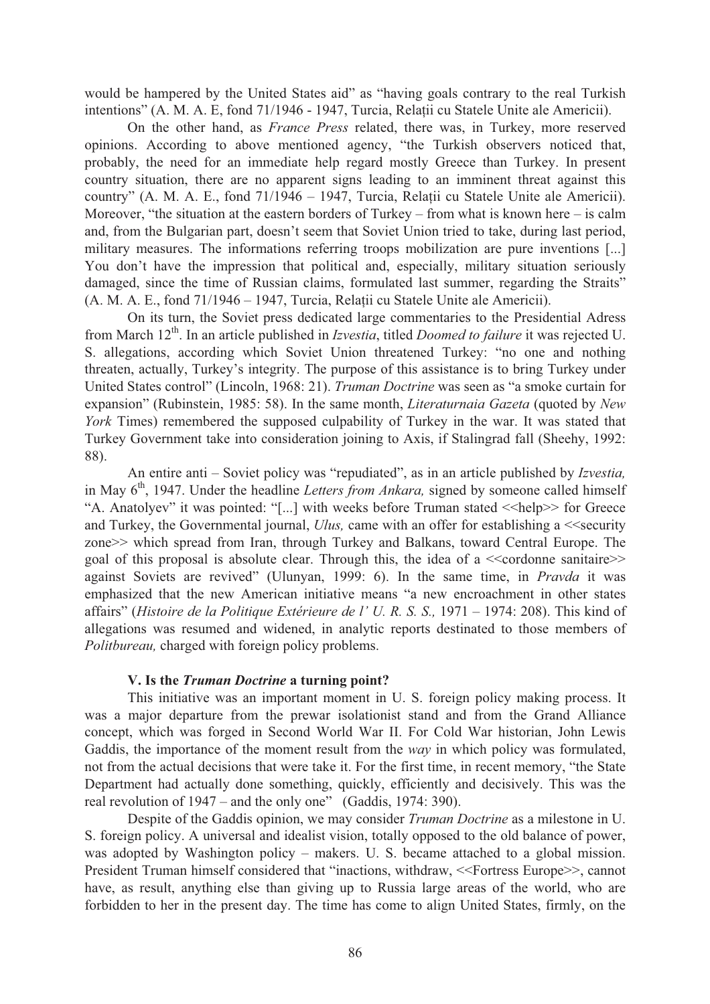would be hampered by the United States aid" as "having goals contrary to the real Turkish intentions" (A. M. A. E, fond 71/1946 - 1947, Turcia, Relații cu Statele Unite ale Americii).

 On the other hand, as *France Press* related, there was, in Turkey, more reserved opinions. According to above mentioned agency, "the Turkish observers noticed that, probably, the need for an immediate help regard mostly Greece than Turkey. In present country situation, there are no apparent signs leading to an imminent threat against this country" (A. M. A. E., fond  $71/1946 - 1947$ , Turcia, Relatii cu Statele Unite ale Americii). Moreover, "the situation at the eastern borders of Turkey – from what is known here – is calm and, from the Bulgarian part, doesn't seem that Soviet Union tried to take, during last period, military measures. The informations referring troops mobilization are pure inventions [...] You don't have the impression that political and, especially, military situation seriously damaged, since the time of Russian claims, formulated last summer, regarding the Straits"  $(A. M. A. E., fond 71/1946 – 1947, Turcia, Relații cu Statele Unite ale Americii).$ 

 On its turn, the Soviet press dedicated large commentaries to the Presidential Adress from March 12th. In an article published in *Izvestia*, titled *Doomed to failure* it was rejected U. S. allegations, according which Soviet Union threatened Turkey: "no one and nothing threaten, actually, Turkey's integrity. The purpose of this assistance is to bring Turkey under United States control" (Lincoln, 1968: 21). *Truman Doctrine* was seen as "a smoke curtain for expansion" (Rubinstein, 1985: 58). In the same month, *Literaturnaia Gazeta* (quoted by *New York* Times) remembered the supposed culpability of Turkey in the war. It was stated that Turkey Government take into consideration joining to Axis, if Stalingrad fall (Sheehy, 1992: 88).

 An entire anti – Soviet policy was "repudiated", as in an article published by *Izvestia,*  in May 6<sup>th</sup>, 1947. Under the headline *Letters from Ankara*, signed by someone called himself "A. Anatolyev" it was pointed: "[...] with weeks before Truman stated << help >> for Greece and Turkey, the Governmental journal, *Ulus*, came with an offer for establishing a <<security zone>> which spread from Iran, through Turkey and Balkans, toward Central Europe. The goal of this proposal is absolute clear. Through this, the idea of a  $\ll$  cordonne sanitaire $\gg$ against Soviets are revived" (Ulunyan, 1999: 6). In the same time, in *Pravda* it was emphasized that the new American initiative means "a new encroachment in other states affairs" (*Histoire de la Politique Extérieure de l' U. R. S. S.,* 1971 – 1974: 208). This kind of allegations was resumed and widened, in analytic reports destinated to those members of *Politbureau,* charged with foreign policy problems.

#### **V. Is the** *Truman Doctrine* **a turning point?**

This initiative was an important moment in U. S. foreign policy making process. It was a major departure from the prewar isolationist stand and from the Grand Alliance concept, which was forged in Second World War II. For Cold War historian, John Lewis Gaddis, the importance of the moment result from the *way* in which policy was formulated, not from the actual decisions that were take it. For the first time, in recent memory, "the State Department had actually done something, quickly, efficiently and decisively. This was the real revolution of 1947 – and the only one" (Gaddis, 1974: 390).

Despite of the Gaddis opinion, we may consider *Truman Doctrine* as a milestone in U. S. foreign policy. A universal and idealist vision, totally opposed to the old balance of power, was adopted by Washington policy – makers. U. S. became attached to a global mission. President Truman himself considered that "inactions, withdraw, <<Fortress Europe>>, cannot have, as result, anything else than giving up to Russia large areas of the world, who are forbidden to her in the present day. The time has come to align United States, firmly, on the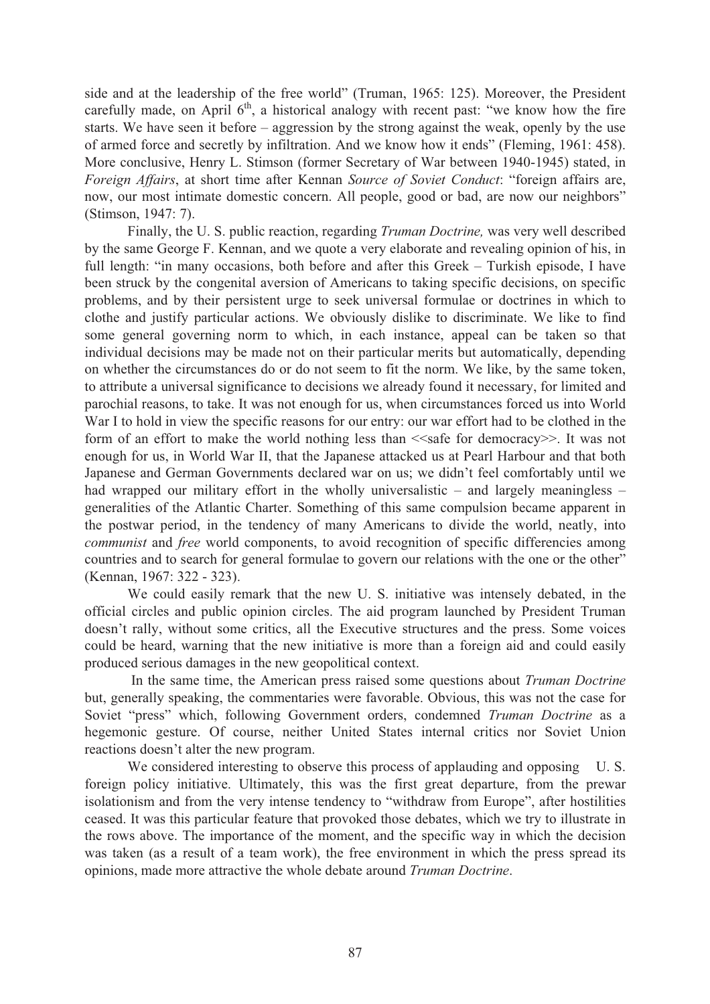side and at the leadership of the free world" (Truman, 1965: 125). Moreover, the President carefully made, on April  $6<sup>th</sup>$ , a historical analogy with recent past: "we know how the fire starts. We have seen it before – aggression by the strong against the weak, openly by the use of armed force and secretly by infiltration. And we know how it ends" (Fleming, 1961: 458). More conclusive, Henry L. Stimson (former Secretary of War between 1940-1945) stated, in *Foreign Affairs*, at short time after Kennan *Source of Soviet Conduct*: "foreign affairs are, now, our most intimate domestic concern. All people, good or bad, are now our neighbors" (Stimson, 1947: 7).

Finally, the U. S. public reaction, regarding *Truman Doctrine,* was very well described by the same George F. Kennan, and we quote a very elaborate and revealing opinion of his, in full length: "in many occasions, both before and after this Greek – Turkish episode, I have been struck by the congenital aversion of Americans to taking specific decisions, on specific problems, and by their persistent urge to seek universal formulae or doctrines in which to clothe and justify particular actions. We obviously dislike to discriminate. We like to find some general governing norm to which, in each instance, appeal can be taken so that individual decisions may be made not on their particular merits but automatically, depending on whether the circumstances do or do not seem to fit the norm. We like, by the same token, to attribute a universal significance to decisions we already found it necessary, for limited and parochial reasons, to take. It was not enough for us, when circumstances forced us into World War I to hold in view the specific reasons for our entry: our war effort had to be clothed in the form of an effort to make the world nothing less than  $\leq$ safe for democracy $\geq$ . It was not enough for us, in World War II, that the Japanese attacked us at Pearl Harbour and that both Japanese and German Governments declared war on us; we didn't feel comfortably until we had wrapped our military effort in the wholly universalistic – and largely meaningless – generalities of the Atlantic Charter. Something of this same compulsion became apparent in the postwar period, in the tendency of many Americans to divide the world, neatly, into *communist* and *free* world components, to avoid recognition of specific differencies among countries and to search for general formulae to govern our relations with the one or the other" (Kennan, 1967: 322 - 323).

 We could easily remark that the new U. S. initiative was intensely debated, in the official circles and public opinion circles. The aid program launched by President Truman doesn't rally, without some critics, all the Executive structures and the press. Some voices could be heard, warning that the new initiative is more than a foreign aid and could easily produced serious damages in the new geopolitical context.

 In the same time, the American press raised some questions about *Truman Doctrine*  but, generally speaking, the commentaries were favorable. Obvious, this was not the case for Soviet "press" which, following Government orders, condemned *Truman Doctrine* as a hegemonic gesture. Of course, neither United States internal critics nor Soviet Union reactions doesn't alter the new program.

We considered interesting to observe this process of applauding and opposing U.S. foreign policy initiative. Ultimately, this was the first great departure, from the prewar isolationism and from the very intense tendency to "withdraw from Europe", after hostilities ceased. It was this particular feature that provoked those debates, which we try to illustrate in the rows above. The importance of the moment, and the specific way in which the decision was taken (as a result of a team work), the free environment in which the press spread its opinions, made more attractive the whole debate around *Truman Doctrine*.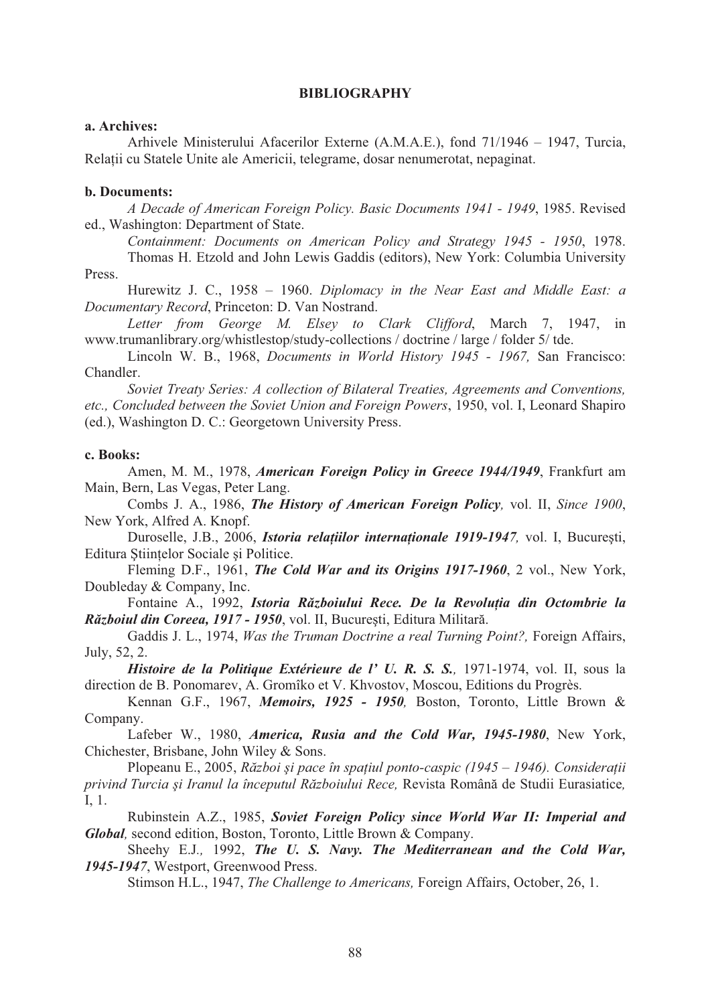#### **BIBLIOGRAPHY**

#### **a. Archives:**

 Arhivele Ministerului Afacerilor Externe (A.M.A.E.), fond 71/1946 – 1947, Turcia, Relații cu Statele Unite ale Americii, telegrame, dosar nenumerotat, nepaginat.

# **b. Documents:**

 *A Decade of American Foreign Policy. Basic Documents 1941 - 1949*, 1985. Revised ed., Washington: Department of State.

 *Containment: Documents on American Policy and Strategy 1945 - 1950*, 1978.

 Thomas H. Etzold and John Lewis Gaddis (editors), New York: Columbia University Press.

 Hurewitz J. C., 1958 – 1960. *Diplomacy in the Near East and Middle East: a Documentary Record*, Princeton: D. Van Nostrand.

 *Letter from George M. Elsey to Clark Clifford*, March 7, 1947, in www.trumanlibrary.org/whistlestop/study-collections / doctrine / large / folder 5/ tde.

 Lincoln W. B., 1968, *Documents in World History 1945 - 1967,* San Francisco: Chandler.

 *Soviet Treaty Series: A collection of Bilateral Treaties, Agreements and Conventions, etc., Concluded between the Soviet Union and Foreign Powers*, 1950, vol. I, Leonard Shapiro (ed.), Washington D. C.: Georgetown University Press.

#### **c. Books:**

Amen, M. M., 1978, *American Foreign Policy in Greece 1944/1949*, Frankfurt am Main, Bern, Las Vegas, Peter Lang.

Combs J. A., 1986, *The History of American Foreign Policy,* vol. II, *Since 1900*, New York, Alfred A. Knopf.

Duroselle, J.B., 2006, *Istoria relațiilor internaționale 1919-1947*, vol. I, București, Editura Științelor Sociale și Politice.

Fleming D.F., 1961, *The Cold War and its Origins 1917-1960*, 2 vol., New York, Doubleday & Company, Inc.

Fontaine A., 1992, *Istoria Războiului Rece. De la Revoluția din Octombrie la Războiul din Coreea, 1917 - 1950, vol. II, București, Editura Militară.* 

Gaddis J. L., 1974, *Was the Truman Doctrine a real Turning Point?,* Foreign Affairs, July, 52, 2.

*Histoire de la Politique Extérieure de l' U. R. S. S., 1971-1974, vol. II, sous la* direction de B. Ponomarev, A. Gromîko et V. Khvostov, Moscou, Editions du Progrès.

Kennan G.F., 1967, *Memoirs, 1925 - 1950,* Boston, Toronto, Little Brown & Company.

Lafeber W., 1980, *America, Rusia and the Cold War, 1945-1980*, New York, Chichester, Brisbane, John Wiley & Sons.

Plopeanu E., 2005, *R zboi !i pace în spa"iul ponto-caspic (1945 – 1946). Considera"ii privind Turcia !i Iranul la începutul R zboiului Rece,* Revista Român# de Studii Eurasiatice*,* I, 1.

Rubinstein A.Z., 1985, *Soviet Foreign Policy since World War II: Imperial and Global,* second edition, Boston, Toronto, Little Brown & Company.

Sheehy E.J*.,* 1992, *The U. S. Navy. The Mediterranean and the Cold War, 1945-1947*, Westport, Greenwood Press.

Stimson H.L., 1947, *The Challenge to Americans,* Foreign Affairs, October, 26, 1.